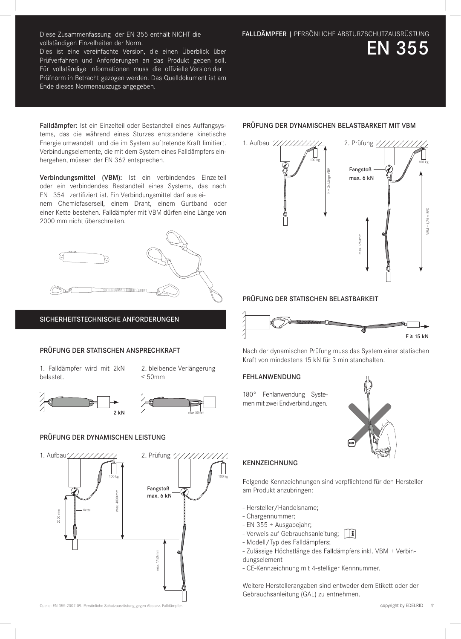Dies ist eine vereinfachte Version, die einen Überblick über Prüfverfahren und Anforderungen an das Produkt geben soll. Für vollständige Informationen muss die offizielle Version der Prüfnorm in Betracht gezogen werden. Das Quelldokument ist am Ende dieses Normenauszugs angegeben.

EN 355

Falldämpfer: Ist ein Einzelteil oder Bestandteil eines Auffangsystems, das die während eines Sturzes entstandene kinetische Energie umwandelt und die im System auftretende Kraft limitiert. Verbindungselemente, die mit dem System eines Falldämpfers einhergehen, müssen der EN 362 entsprechen.

Verbindungsmittel (VBM): Ist ein verbindendes Einzelteil oder ein verbindendes Bestandteil eines Systems, das nach EN 354 zertifiziert ist. Ein Verbindungsmittel darf aus einem Chemiefaserseil, einem Draht, einem Gurtband oder

einer Kette bestehen. Falldämpfer mit VBM dürfen eine Länge von 2000 mm nicht überschreiten.



## SICHERHEITSTECHNISCHE ANFORDERUNGEN

## PRÜFUNG DER STATISCHEN ANSPRECHKRAFT

1. Falldämpfer wird mit 2kN belastet.

2. bleibende Verlängerung  $< 50$ mm





#### PRÜFUNG DER DYNAMISCHEN LEISTUNG



# PRÜFUNG DER DYNAMISCHEN BELASTBARKEIT MIT VBM



## PRÜFUNG DER STATISCHEN BELASTBARKEIT



Nach der dynamischen Prüfung muss das System einer statischen Kraft von mindestens 15 kN für 3 min standhalten.

## FEHLANWENDUNG

180° Fehlanwendung Systemen mit zwei Endverbindungen.



# KENNZEICHNUNG

Folgende Kennzeichnungen sind verpflichtend für den Hersteller am Produkt anzubringen:

- Hersteller/Handelsname;
- Chargennummer;
- EN 355 + Ausgabejahr;
- Verweis auf Gebrauchsanleitung; [1]
- Modell/Typ des Falldämpfers;
- Zulässige Höchstlänge des Falldämpfers inkl. VBM + Verbindungselement
- CE-Kennzeichnung mit 4-stelliger Kennnummer.

Weitere Herstellerangaben sind entweder dem Etikett oder der Gebrauchsanleitung (GAL) zu entnehmen.